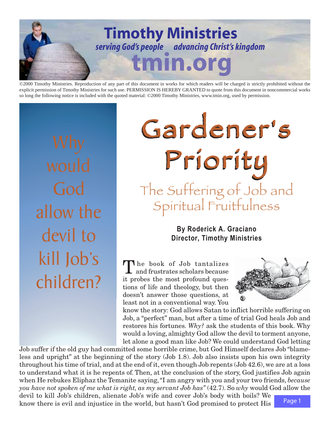

©2000 Timothy Ministries. Reproduction of any part of this document in works for which readers will be charged is strictly prohibited without the explicit permission of Timothy Ministries for such use. PERMISSION IS HEREBY GRANTED to quote from this document in noncommercial works so long the following notice is included with the quoted material: ©2000 Timothy Ministries, www.tmin.org, used by permission.

God allow the devil to kill Job's children?

# Gardener's Gardener's Gardener's Gardener's Gardener's Gardener's Priority The Suffering of Job and Spiritual Fruitfulness

# **By Roderick A. Graciano Director, Timothy Ministries**

The book of Job tantalizes and frustrates scholars because it probes the most profound questions of life and theology, but then doesn't answer those questions, at least not in a conventional way. You



know the story: God allows Satan to inflict horrible suffering on Job, a "perfect" man, but after a time of trial God heals Job and restores his fortunes. *Why?* ask the students of this book. Why would a loving, almighty God allow the devil to torment anyone, let alone a good man like Job? We could understand God letting

Page 1 Job suffer if the old guy had committed some horrible crime, but God Himself declares Job "blameless and upright" at the beginning of the story (Job 1.8). Job also insists upon his own integrity throughout his time of trial, and at the end of it, even though Job repents (Job 42.6), we are at a loss to understand what it is he repents of. Then, at the conclusion of the story, God justifies Job again when He rebukes Eliphaz the Temanite saying, "I am angry with you and your two friends, *because you have not spoken of me what is right, as my servant Job has"* (42.7). So *why* would God allow the devil to kill Job's children, alienate Job's wife and cover Job's body with boils? We know there is evil and injustice in the world, but hasn't God promised to protect His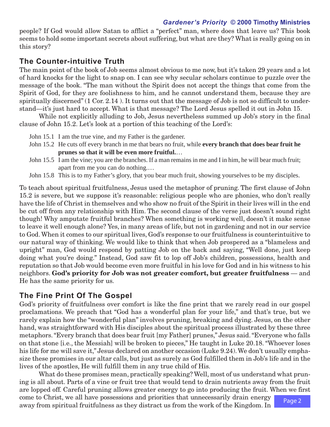### *Gardener's Priority* **© 2000 Timothy Ministries**

people? If God would allow Satan to afflict a "perfect" man, where does that leave us? This book seems to hold some important secrets about suffering, but what are they? What is really going on in this story?

## **The Counter-intuitive Truth**

The main point of the book of Job seems almost obvious to me now, but it's taken 29 years and a lot of hard knocks for the light to snap on. I can see why secular scholars continue to puzzle over the message of the book. "The man without the Spirit does not accept the things that come from the Spirit of God, for they are foolishness to him, and he cannot understand them, because they are spiritually discerned" (1 Cor. 2.14 ). It turns out that the message of Job is not so difficult to understand—it's just hard to accept. What is that message? The Lord Jesus spelled it out in John 15.

While not explicitly alluding to Job, Jesus nevertheless summed up Job's story in the final clause of John 15.2. Let's look at a portion of this teaching of the Lord's:

- John 15.1 I am the true vine, and my Father is the gardener.
- John 15.2 He cuts off every branch in me that bears no fruit, while **every branch that does bear fruit he prunes so that it will be even more fruitful.**…
- John 15.5 I am the vine; you are the branches. If a man remains in me and I in him, he will bear much fruit; apart from me you can do nothing.…
- John 15.8 This is to my Father's glory, that you bear much fruit, showing yourselves to be my disciples.

To teach about spiritual fruitfulness, Jesus used the metaphor of pruning. The first clause of John 15.2 is severe, but we suppose it's reasonable: religious people who are phonies, who don't really have the life of Christ in themselves and who show no fruit of the Spirit in their lives will in the end be cut off from any relationship with Him. The second clause of the verse just doesn't sound right though! Why amputate fruitful branches? When something is working well, doesn't it make sense to leave it well enough alone? Yes, in many areas of life, but not in gardening and not in our service to God. When it comes to our spiritual lives, God's response to our fruitfulness is counterintuitive to our natural way of thinking. We would like to think that when Job prospered as a "blameless and upright" man, God would respond by patting Job on the back and saying, "Well done, just keep doing what you're doing." Instead, God saw fit to lop off Job's children, possessions, health and reputation so that Job would become even more fruitful in his love for God and in his witness to his neighbors. **God's priority for Job was not greater comfort, but greater fruitfulness** — and He has the same priority for us.

## **The Fine Print Of The Gospel**

God's priority of fruitfulness over comfort is like the fine print that we rarely read in our gospel proclamations. We preach that "God has a wonderful plan for your life," and that's true, but we rarely explain how the "wonderful plan" involves pruning, breaking and dying. Jesus, on the other hand, was straightforward with His disciples about the spiritual process illustrated by these three metaphors. "Every branch that does bear fruit [my Father] prunes," Jesus said. "Everyone who falls on that stone [i.e., the Messiah] will be broken to pieces," He taught in Luke 20.18. "Whoever loses his life for me will save it," Jesus declared on another occasion (Luke 9.24). We don't usually emphasize these promises in our altar calls, but just as surely as God fulfilled them in Job's life and in the lives of the apostles, He will fulfill them in any true child of His.

What do these promises mean, practically speaking? Well, most of us understand what pruning is all about. Parts of a vine or fruit tree that would tend to drain nutrients away from the fruit are lopped off. Careful pruning allows greater energy to go into producing the fruit. When we first come to Christ, we all have possessions and priorities that unnecessarily drain energy

away from spiritual fruitfulness as they distract us from the work of the Kingdom. In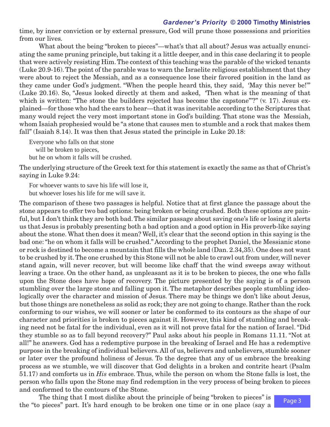#### *Gardener's Priority* **© 2000 Timothy Ministries**

time, by inner conviction or by external pressure, God will prune those possessions and priorities from our lives.

What about the being "broken to pieces"—what's that all about? Jesus was actually enunciating the same pruning principle, but taking it a little deeper, and in this case declaring it to people that were actively resisting Him. The context of this teaching was the parable of the wicked tenants (Luke 20.9-16). The point of the parable was to warn the Israelite religious establishment that they were about to reject the Messiah, and as a consequence lose their favored position in the land as they came under God's judgment. "When the people heard this, they said, 'May this never be!'" (Luke 20.16). So, "Jesus looked directly at them and asked, 'Then what is the meaning of that which is written: "The stone the builders rejected has become the capstone"'?" (v. 17). Jesus explained—for those who had the ears to hear—that it was inevitable according to the Scriptures that many would reject the very most important stone in God's building. That stone was the Messiah, whom Isaiah prophesied would be "a stone that causes men to stumble and a rock that makes them fall" (Isaiah 8.14). It was then that Jesus stated the principle in Luke 20.18:

Everyone who falls on that stone

will be broken to pieces,

but he on whom it falls will be crushed.

The underlying structure of the Greek text for this statement is exactly the same as that of Christ's saying in Luke 9.24:

For whoever wants to save his life will lose it, but whoever loses his life for me will save it.

The comparison of these two passages is helpful. Notice that at first glance the passage about the stone appears to offer two bad options: being broken or being crushed. Both these options are painful, but I don't think they are both bad. The similar passage about saving one's life or losing it alerts us that Jesus is probably presenting both a bad option and a good option in His proverb-like saying about the stone. What then does it mean? Well, it's clear that the second option in this saying is the bad one: "he on whom it falls will be crushed." According to the prophet Daniel, the Messianic stone or rock is destined to become a mountain that fills the whole land (Dan. 2.34,35). One does not want to be crushed by it. The one crushed by this Stone will not be able to crawl out from under, will never stand again, will never recover, but will become like chaff that the wind sweeps away without leaving a trace. On the other hand, as unpleasant as it is to be broken to pieces, the one who falls upon the Stone does have hope of recovery. The picture presented by the saying is of a person stumbling over the large stone and falling upon it. The metaphor describes people stumbling ideologically over the character and mission of Jesus. There may be things we don't like about Jesus, but those things are nonetheless as solid as rock; they are not going to change. Rather than the rock conforming to our wishes, we will sooner or later be conformed to its contours as the shape of our character and priorities is broken to pieces against it. However, this kind of stumbling and breaking need not be fatal for the individual, even as it will not prove fatal for the nation of Israel. "Did they stumble so as to fall beyond recovery?" Paul asks about his people in Romans 11.11. "Not at all!" he answers. God has a redemptive purpose in the breaking of Israel and He has a redemptive purpose in the breaking of individual believers. All of us, believers and unbelievers, stumble sooner or later over the profound holiness of Jesus. To the degree that any of us embrace the breaking process as we stumble, we will discover that God delights in a broken and contrite heart (Psalm 51.17) and comforts us in *His* embrace. Thus, while the person on whom the Stone falls is lost, the person who falls upon the Stone may find redemption in the very process of being broken to pieces and conformed to the contours of the Stone.

The thing that I most dislike about the principle of being "broken to pieces" is the "to pieces" part. It's hard enough to be broken one time or in one place (say a